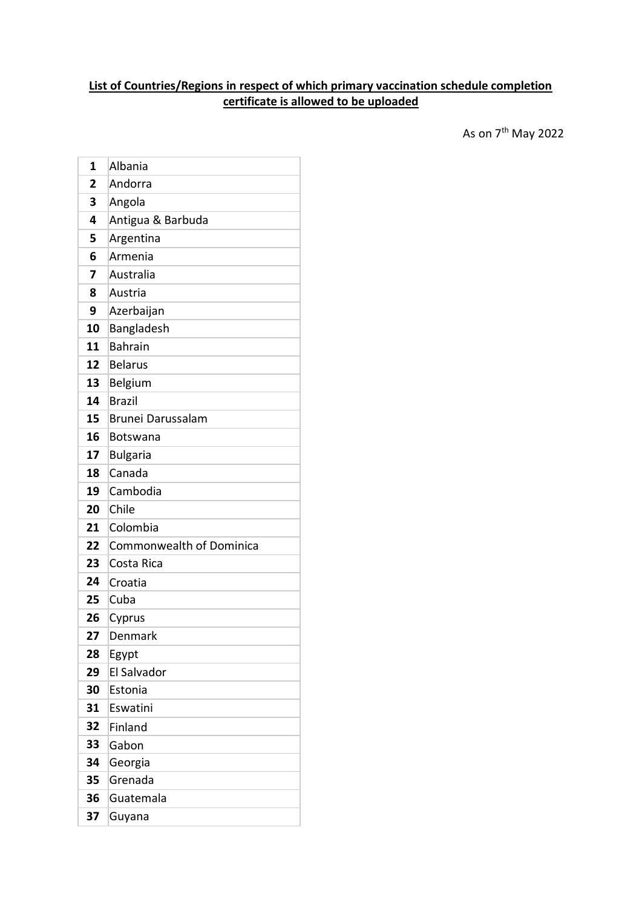## **List of Countries/Regions in respect of which primary vaccination schedule completion certificate is allowed to be uploaded**

 $\sim$  As on  $7^{\text{th}}$  May 2022

| 1  | Albania                  |
|----|--------------------------|
| 2  | Andorra                  |
| 3  | Angola                   |
| 4  | Antigua & Barbuda        |
| 5  | Argentina                |
| 6  | Armenia                  |
| 7  | Australia                |
| 8  | Austria                  |
| 9  | Azerbaijan               |
| 10 | Bangladesh               |
| 11 | <b>Bahrain</b>           |
| 12 | <b>Belarus</b>           |
| 13 | Belgium                  |
| 14 | <b>Brazil</b>            |
| 15 | Brunei Darussalam        |
| 16 | <b>Botswana</b>          |
| 17 | <b>Bulgaria</b>          |
| 18 | Canada                   |
| 19 | Cambodia                 |
| 20 | Chile                    |
| 21 | Colombia                 |
| 22 | Commonwealth of Dominica |
| 23 | Costa Rica               |
| 24 | Croatia                  |
| 25 | Cuba                     |
| 26 | Cyprus                   |
| 27 | Denmark                  |
| 28 | Egypt                    |
| 29 | El Salvador              |
| 30 | Estonia                  |
| 31 | Eswatini                 |
| 32 | Finland                  |
| 33 | Gabon                    |
| 34 | Georgia                  |
| 35 | Grenada                  |
| 36 | Guatemala                |
| 37 | Guyana                   |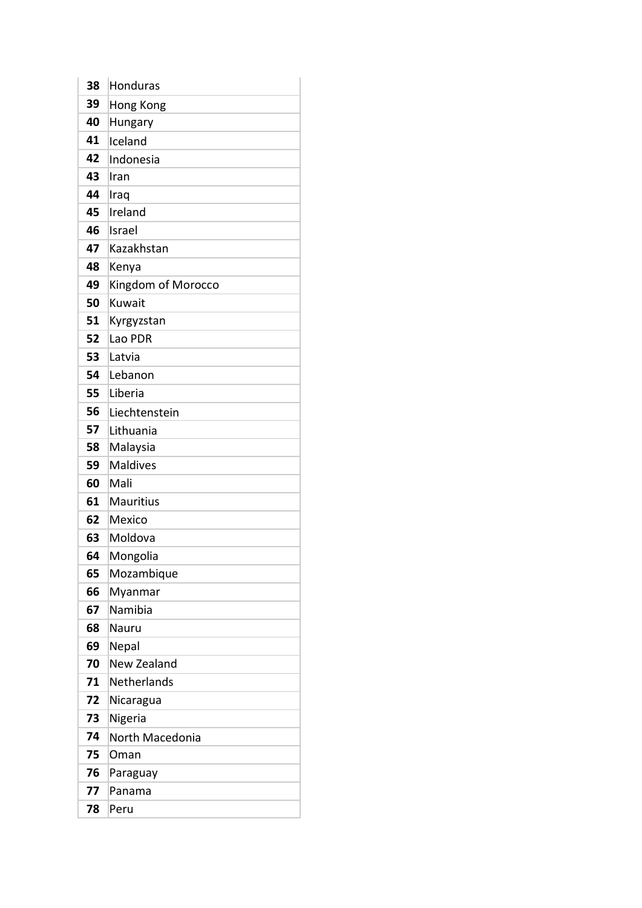| 38 | <b>Honduras</b>    |
|----|--------------------|
| 39 | Hong Kong          |
| 40 | Hungary            |
| 41 | Iceland            |
| 42 | Indonesia          |
| 43 | Iran               |
| 44 | Iraq               |
| 45 | Ireland            |
| 46 | Israel             |
| 47 | Kazakhstan         |
| 48 | Kenya              |
| 49 | Kingdom of Morocco |
| 50 | Kuwait             |
| 51 | Kyrgyzstan         |
| 52 | Lao PDR            |
| 53 | Latvia             |
| 54 | Lebanon            |
| 55 | Liberia            |
| 56 | Liechtenstein      |
| 57 | Lithuania          |
| 58 | Malaysia           |
| 59 | <b>Maldives</b>    |
| 60 | Mali               |
| 61 | <b>Mauritius</b>   |
| 62 | Mexico             |
| 63 | Moldova            |
| 64 | Mongolia           |
| 65 | Mozambique         |
| 66 | Myanmar            |
| 67 | Namibia            |
| 68 | Nauru              |
| 69 | Nepal              |
| 70 | New Zealand        |
| 71 | Netherlands        |
| 72 | Nicaragua          |
| 73 | Nigeria            |
| 74 | North Macedonia    |
| 75 | Oman               |
| 76 | Paraguay           |
| 77 | Panama             |
| 78 | Peru               |